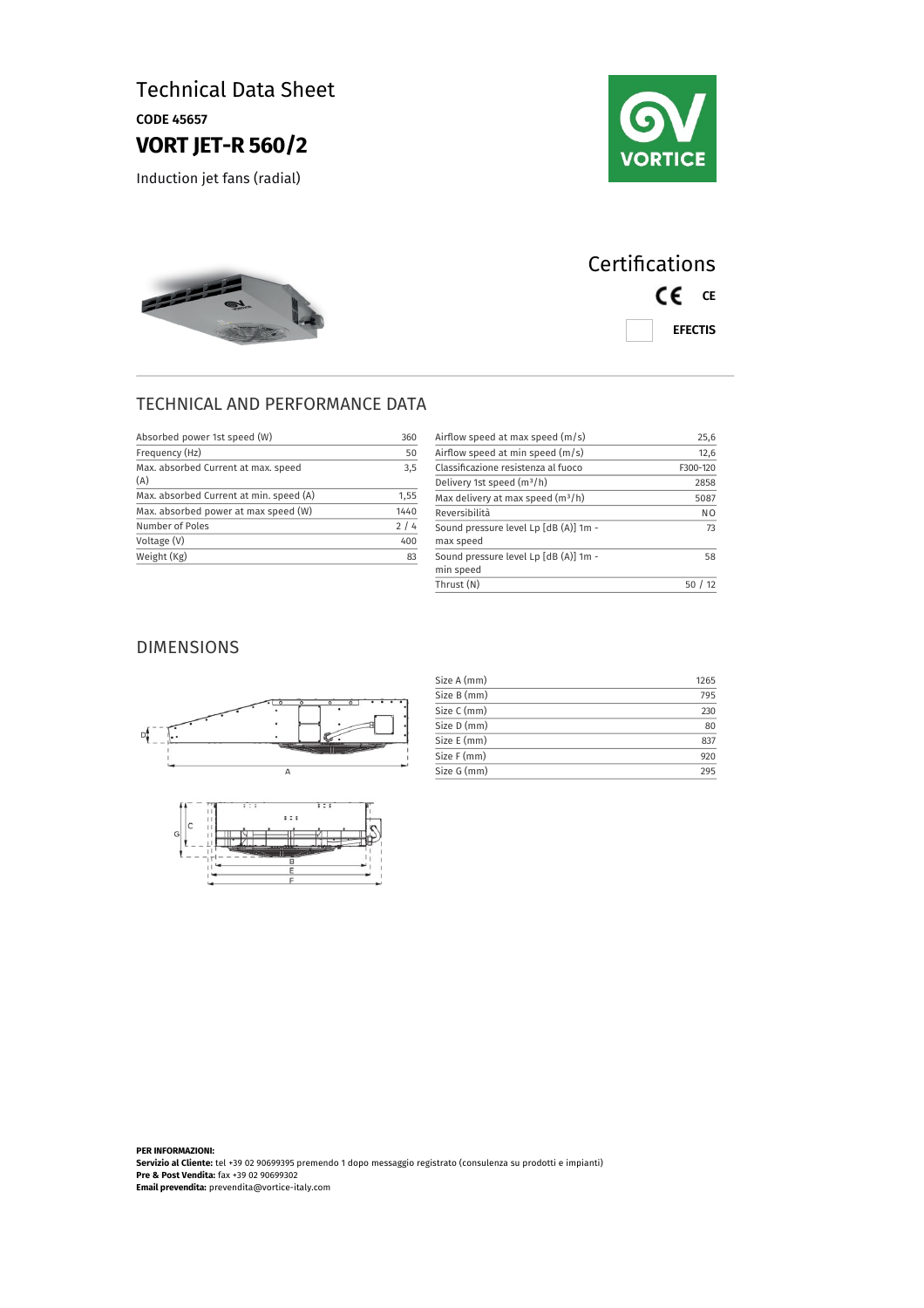### Technical Data Sheet CODE 45657 **VORT JET-R 560/2**

Induction jet fans (radial)



# 222

# **Certifications** CE CE EFECTIS

#### TECHNICAL AND PERFORMANCE DATA

| Absorbed power 1st speed (W)               | 360  |
|--------------------------------------------|------|
| Frequency (Hz)                             | 50   |
| Max, absorbed Current at max, speed<br>(A) | 3,5  |
| Max. absorbed Current at min. speed (A)    | 1,55 |
| Max. absorbed power at max speed (W)       | 1440 |
| Number of Poles                            | 2/4  |
| Voltage (V)                                | 400  |
| Weight (Kg)                                | 83   |

| Airflow speed at max speed (m/s)                   | 25,6           |
|----------------------------------------------------|----------------|
| Airflow speed at min speed $(m/s)$                 | 12,6           |
| Classificazione resistenza al fuoco                | F300-120       |
| Delivery 1st speed $(m^3/h)$                       | 2858           |
| Max delivery at max speed (m <sup>3</sup> /h)      | 5087           |
| Reversibilità                                      | N <sub>O</sub> |
| Sound pressure level Lp [dB (A)] 1m -<br>max speed | 73             |
| Sound pressure level Lp [dB (A)] 1m -<br>min speed | 58             |
| Thrust (N)                                         | 50             |

#### DIMENSIONS





| Size A (mm) | 1265 |
|-------------|------|
| Size B (mm) | 795  |
| Size C (mm) | 230  |
| Size D (mm) | 80   |
| Size E (mm) | 837  |
| Size F (mm) | 920  |
| Size G (mm) | 295  |

**PER INFORMAZIONI: Servizio al Cliente:** tel +39 02 90699395 premendo 1 dopo messaggio registrato (consulenza su prodotti e impianti) **Pre & Post Vendita:** fax +39 02 90699302 **Email prevendita:** prevendita@vortice-italy.com